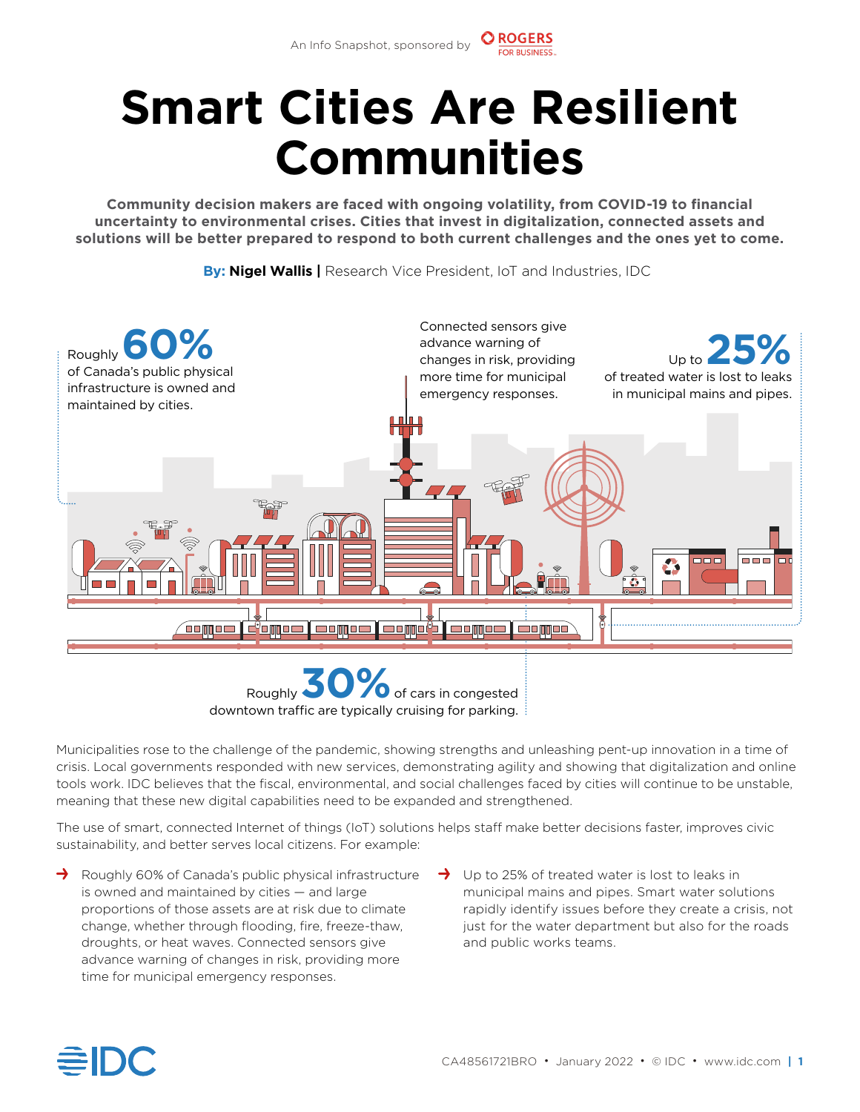## **Smart Cities Are Resilient Communities**

**Community decision makers are faced with ongoing volatility, from COVID-19 to fnancial uncertainty to environmental crises. Cities that invest in digitalization, connected assets and solutions will be better prepared to respond to both current challenges and the ones yet to come.** 

**By: Nigel Wallis |** Research Vice President, IoT and Industries, IDC



Roughly 30% of cars in congested downtown traffic are typically cruising for parking. **3 0**

Municipalities rose to the challenge of the pandemic, showing strengths and unleashing pent-up innovation in a time of crisis. Local governments responded with new services, demonstrating agility and showing that digitalization and online tools work. IDC believes that the fscal, environmental, and social challenges faced by cities will continue to be unstable, meaning that these new digital capabilities need to be expanded and strengthened.

The use of smart, connected Internet of things (IoT) solutions helps staff make better decisions faster, improves civic sustainability, and better serves local citizens. For example:

- $\rightarrow$  Roughly 60% of Canada's public physical infrastructure  $\rightarrow$ is owned and maintained by cities — and large proportions of those assets are at risk due to climate change, whether through flooding, fire, freeze-thaw, droughts, or heat waves. Connected sensors give advance warning of changes in risk, providing more time for municipal emergency responses.
	- $\rightarrow$  Up to 25% of treated water is lost to leaks in municipal mains and pipes. Smart water solutions rapidly identify issues before they create a crisis, not just for the water department but also for the roads and public works teams.